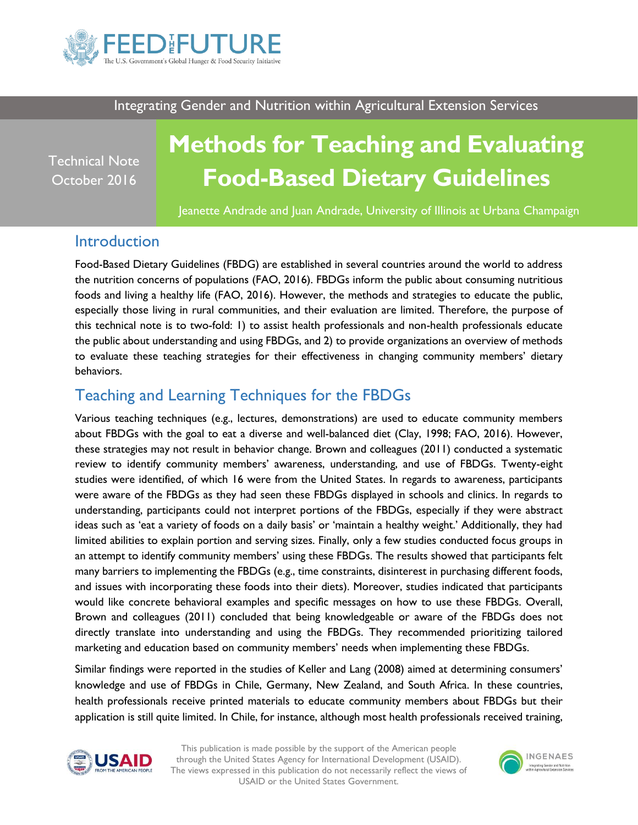

Integrating Gender and Nutrition within Agricultural Extension Services

Technical Note October 2016

# **Methods for Teaching and Evaluating Food-Based Dietary Guidelines**

Jeanette Andrade and Juan Andrade, University of Illinois at Urbana Champaign

### **Introduction**

Food-Based Dietary Guidelines (FBDG) are established in several countries around the world to address the nutrition concerns of populations (FAO, 2016). FBDGs inform the public about consuming nutritious foods and living a healthy life (FAO, 2016). However, the methods and strategies to educate the public, especially those living in rural communities, and their evaluation are limited. Therefore, the purpose of this technical note is to two-fold: 1) to assist health professionals and non-health professionals educate the public about understanding and using FBDGs, and 2) to provide organizations an overview of methods to evaluate these teaching strategies for their effectiveness in changing community members' dietary behaviors.

## Teaching and Learning Techniques for the FBDGs

Various teaching techniques (e.g., lectures, demonstrations) are used to educate community members about FBDGs with the goal to eat a diverse and well-balanced diet (Clay, 1998; FAO, 2016). However, these strategies may not result in behavior change. Brown and colleagues (2011) conducted a systematic review to identify community members' awareness, understanding, and use of FBDGs. Twenty-eight studies were identified, of which 16 were from the United States. In regards to awareness, participants were aware of the FBDGs as they had seen these FBDGs displayed in schools and clinics. In regards to understanding, participants could not interpret portions of the FBDGs, especially if they were abstract ideas such as 'eat a variety of foods on a daily basis' or 'maintain a healthy weight.' Additionally, they had limited abilities to explain portion and serving sizes. Finally, only a few studies conducted focus groups in an attempt to identify community members' using these FBDGs. The results showed that participants felt many barriers to implementing the FBDGs (e.g., time constraints, disinterest in purchasing different foods, and issues with incorporating these foods into their diets). Moreover, studies indicated that participants would like concrete behavioral examples and specific messages on how to use these FBDGs. Overall, Brown and colleagues (2011) concluded that being knowledgeable or aware of the FBDGs does not directly translate into understanding and using the FBDGs. They recommended prioritizing tailored marketing and education based on community members' needs when implementing these FBDGs.

Similar findings were reported in the studies of Keller and Lang (2008) aimed at determining consumers' knowledge and use of FBDGs in Chile, Germany, New Zealand, and South Africa. In these countries, health professionals receive printed materials to educate community members about FBDGs but their application is still quite limited. In Chile, for instance, although most health professionals received training,



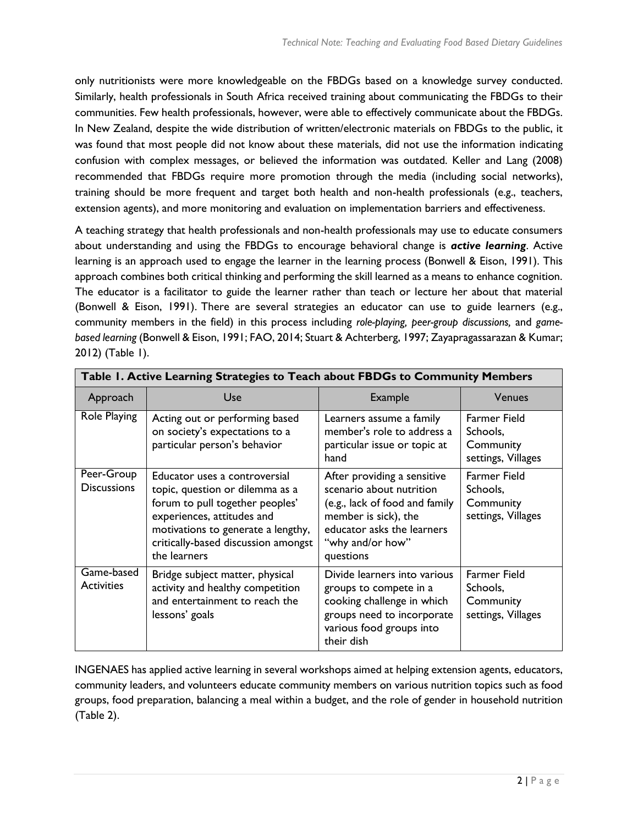only nutritionists were more knowledgeable on the FBDGs based on a knowledge survey conducted. Similarly, health professionals in South Africa received training about communicating the FBDGs to their communities. Few health professionals, however, were able to effectively communicate about the FBDGs. In New Zealand, despite the wide distribution of written/electronic materials on FBDGs to the public, it was found that most people did not know about these materials, did not use the information indicating confusion with complex messages, or believed the information was outdated. Keller and Lang (2008) recommended that FBDGs require more promotion through the media (including social networks), training should be more frequent and target both health and non-health professionals (e.g., teachers, extension agents), and more monitoring and evaluation on implementation barriers and effectiveness.

A teaching strategy that health professionals and non-health professionals may use to educate consumers about understanding and using the FBDGs to encourage behavioral change is *active learning*. Active learning is an approach used to engage the learner in the learning process (Bonwell & Eison, 1991). This approach combines both critical thinking and performing the skill learned as a means to enhance cognition. The educator is a facilitator to guide the learner rather than teach or lecture her about that material (Bonwell & Eison, 1991). There are several strategies an educator can use to guide learners (e.g., community members in the field) in this process including *role-playing, peer-group discussions,* and *gamebased learning* (Bonwell & Eison, 1991; FAO, 2014; Stuart & Achterberg, 1997; Zayapragassarazan & Kumar; 2012) (Table 1).

| Table 1. Active Learning Strategies to Teach about FBDGs to Community Members |                                                                                                                                                                                                                                |                                                                                                                                                                                  |                                                                    |
|-------------------------------------------------------------------------------|--------------------------------------------------------------------------------------------------------------------------------------------------------------------------------------------------------------------------------|----------------------------------------------------------------------------------------------------------------------------------------------------------------------------------|--------------------------------------------------------------------|
| Approach                                                                      | Use                                                                                                                                                                                                                            | <b>Example</b>                                                                                                                                                                   | <b>Venues</b>                                                      |
| Role Playing                                                                  | Acting out or performing based<br>on society's expectations to a<br>particular person's behavior                                                                                                                               | Learners assume a family<br>member's role to address a<br>particular issue or topic at<br>hand                                                                                   | <b>Farmer Field</b><br>Schools,<br>Community<br>settings, Villages |
| Peer-Group<br><b>Discussions</b>                                              | Educator uses a controversial<br>topic, question or dilemma as a<br>forum to pull together peoples'<br>experiences, attitudes and<br>motivations to generate a lengthy,<br>critically-based discussion amongst<br>the learners | After providing a sensitive<br>scenario about nutrition<br>(e.g., lack of food and family<br>member is sick), the<br>educator asks the learners<br>"why and/or how"<br>questions | Farmer Field<br>Schools,<br>Community<br>settings, Villages        |
| Game-based<br><b>Activities</b>                                               | Bridge subject matter, physical<br>activity and healthy competition<br>and entertainment to reach the<br>lessons' goals                                                                                                        | Divide learners into various<br>groups to compete in a<br>cooking challenge in which<br>groups need to incorporate<br>various food groups into<br>their dish                     | <b>Farmer Field</b><br>Schools,<br>Community<br>settings, Villages |

INGENAES has applied active learning in several workshops aimed at helping extension agents, educators, community leaders, and volunteers educate community members on various nutrition topics such as food groups, food preparation, balancing a meal within a budget, and the role of gender in household nutrition (Table 2).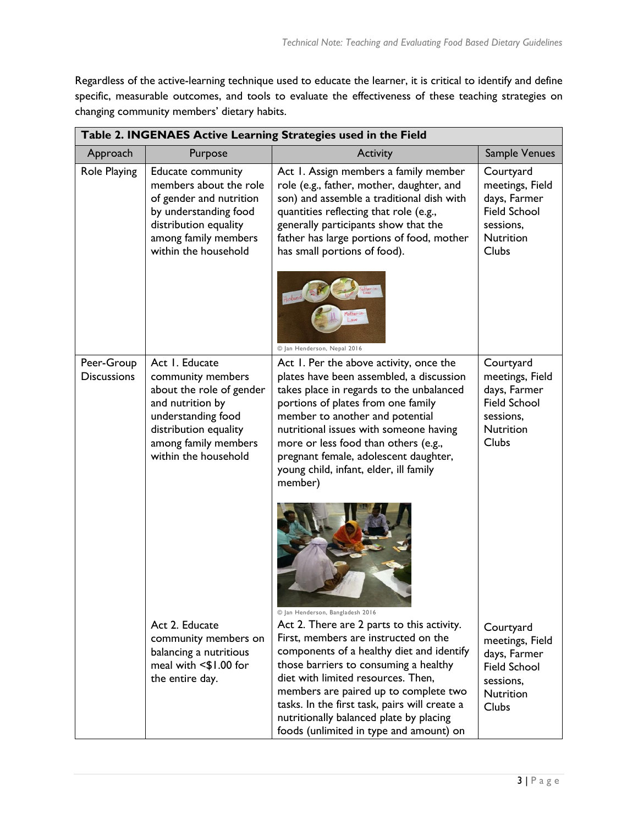Regardless of the active-learning technique used to educate the learner, it is critical to identify and define specific, measurable outcomes, and tools to evaluate the effectiveness of these teaching strategies on changing community members' dietary habits.

| Table 2. INGENAES Active Learning Strategies used in the Field |                                                                                                                                                                                    |                                                                                                                                                                                                                                                                                                                                                                                                                                    |                                                                                                               |
|----------------------------------------------------------------|------------------------------------------------------------------------------------------------------------------------------------------------------------------------------------|------------------------------------------------------------------------------------------------------------------------------------------------------------------------------------------------------------------------------------------------------------------------------------------------------------------------------------------------------------------------------------------------------------------------------------|---------------------------------------------------------------------------------------------------------------|
| Approach                                                       | Purpose                                                                                                                                                                            | <b>Activity</b>                                                                                                                                                                                                                                                                                                                                                                                                                    | Sample Venues                                                                                                 |
| <b>Role Playing</b>                                            | Educate community<br>members about the role<br>of gender and nutrition<br>by understanding food<br>distribution equality<br>among family members<br>within the household           | Act 1. Assign members a family member<br>role (e.g., father, mother, daughter, and<br>son) and assemble a traditional dish with<br>quantities reflecting that role (e.g.,<br>generally participants show that the<br>father has large portions of food, mother<br>has small portions of food).<br>Husband                                                                                                                          | Courtyard<br>meetings, Field<br>days, Farmer<br><b>Field School</b><br>sessions,<br><b>Nutrition</b><br>Clubs |
|                                                                |                                                                                                                                                                                    | © Jan Henderson, Nepal 2016                                                                                                                                                                                                                                                                                                                                                                                                        |                                                                                                               |
| Peer-Group<br><b>Discussions</b>                               | Act 1. Educate<br>community members<br>about the role of gender<br>and nutrition by<br>understanding food<br>distribution equality<br>among family members<br>within the household | Act 1. Per the above activity, once the<br>plates have been assembled, a discussion<br>takes place in regards to the unbalanced<br>portions of plates from one family<br>member to another and potential<br>nutritional issues with someone having<br>more or less food than others (e.g.,<br>pregnant female, adolescent daughter,<br>young child, infant, elder, ill family<br>member)                                           | Courtyard<br>meetings, Field<br>days, Farmer<br><b>Field School</b><br>sessions,<br><b>Nutrition</b><br>Clubs |
|                                                                | Act 2. Educate<br>community members on<br>balancing a nutritious<br>meal with <\$1.00 for<br>the entire day.                                                                       | © Jan Henderson, Bangladesh 2016<br>Act 2. There are 2 parts to this activity.<br>First, members are instructed on the<br>components of a healthy diet and identify<br>those barriers to consuming a healthy<br>diet with limited resources. Then,<br>members are paired up to complete two<br>tasks. In the first task, pairs will create a<br>nutritionally balanced plate by placing<br>foods (unlimited in type and amount) on | Courtyard<br>meetings, Field<br>days, Farmer<br><b>Field School</b><br>sessions,<br><b>Nutrition</b><br>Clubs |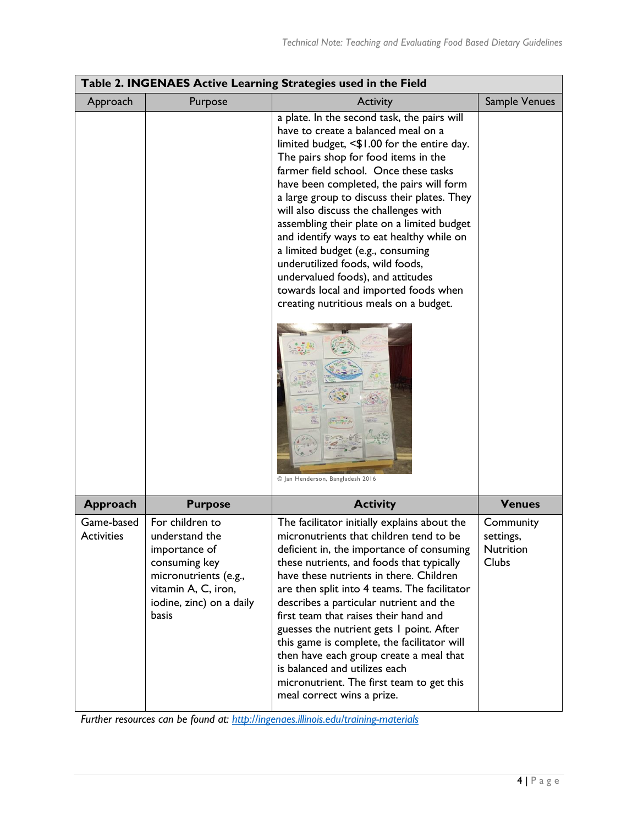| Table 2. INGENAES Active Learning Strategies used in the Field |                                                                                                                                                          |                                                                                                                                                                                                                                                                                                                                                                                                                                                                                                                                                                                                                                                    |                                                     |
|----------------------------------------------------------------|----------------------------------------------------------------------------------------------------------------------------------------------------------|----------------------------------------------------------------------------------------------------------------------------------------------------------------------------------------------------------------------------------------------------------------------------------------------------------------------------------------------------------------------------------------------------------------------------------------------------------------------------------------------------------------------------------------------------------------------------------------------------------------------------------------------------|-----------------------------------------------------|
| Approach                                                       | Purpose                                                                                                                                                  | Activity                                                                                                                                                                                                                                                                                                                                                                                                                                                                                                                                                                                                                                           | Sample Venues                                       |
|                                                                |                                                                                                                                                          | a plate. In the second task, the pairs will<br>have to create a balanced meal on a<br>limited budget, <\$1.00 for the entire day.<br>The pairs shop for food items in the<br>farmer field school. Once these tasks<br>have been completed, the pairs will form<br>a large group to discuss their plates. They<br>will also discuss the challenges with<br>assembling their plate on a limited budget<br>and identify ways to eat healthy while on<br>a limited budget (e.g., consuming<br>underutilized foods, wild foods,<br>undervalued foods), and attitudes<br>towards local and imported foods when<br>creating nutritious meals on a budget. |                                                     |
|                                                                |                                                                                                                                                          | © Jan Henderson, Bangladesh 2016                                                                                                                                                                                                                                                                                                                                                                                                                                                                                                                                                                                                                   |                                                     |
| <b>Approach</b>                                                | <b>Purpose</b>                                                                                                                                           | <b>Activity</b>                                                                                                                                                                                                                                                                                                                                                                                                                                                                                                                                                                                                                                    | <b>Venues</b>                                       |
| Game-based<br><b>Activities</b>                                | For children to<br>understand the<br>importance of<br>consuming key<br>micronutrients (e.g.,<br>vitamin A, C, iron,<br>iodine, zinc) on a daily<br>basis | The facilitator initially explains about the<br>micronutrients that children tend to be<br>deficient in, the importance of consuming<br>these nutrients, and foods that typically<br>have these nutrients in there. Children<br>are then split into 4 teams. The facilitator<br>describes a particular nutrient and the<br>first team that raises their hand and<br>guesses the nutrient gets I point. After<br>this game is complete, the facilitator will<br>then have each group create a meal that<br>is balanced and utilizes each<br>micronutrient. The first team to get this<br>meal correct wins a prize.                                 | Community<br>settings,<br>Nutrition<br><b>Clubs</b> |

*Further resources can be found at:<http://ingenaes.illinois.edu/training-materials>*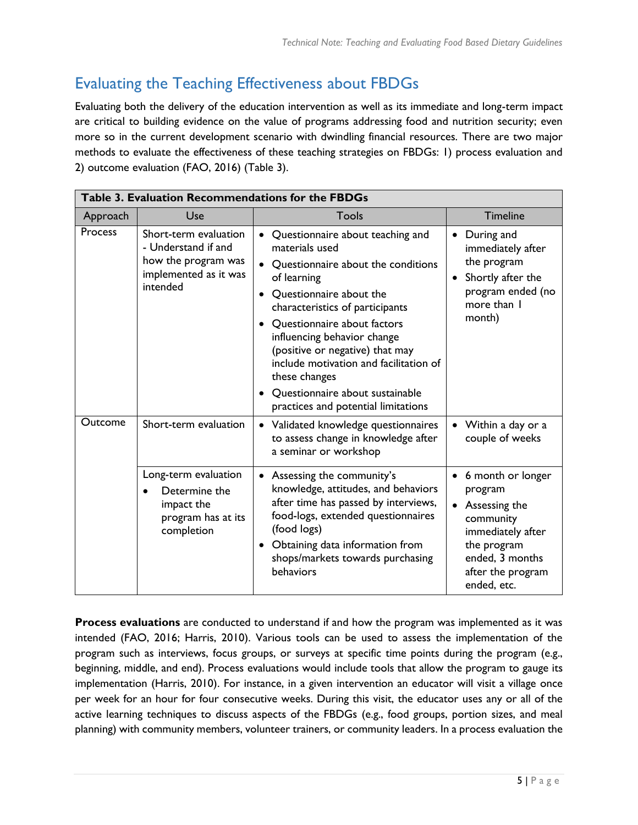# Evaluating the Teaching Effectiveness about FBDGs

Evaluating both the delivery of the education intervention as well as its immediate and long-term impact are critical to building evidence on the value of programs addressing food and nutrition security; even more so in the current development scenario with dwindling financial resources. There are two major methods to evaluate the effectiveness of these teaching strategies on FBDGs: 1) process evaluation and 2) outcome evaluation (FAO, 2016) (Table 3).

| Table 3. Evaluation Recommendations for the FBDGs |                                                                                                          |                                                                                                                                                                                                                                                                                                                                                                                                                                                                 |                                                                                                                                                                    |
|---------------------------------------------------|----------------------------------------------------------------------------------------------------------|-----------------------------------------------------------------------------------------------------------------------------------------------------------------------------------------------------------------------------------------------------------------------------------------------------------------------------------------------------------------------------------------------------------------------------------------------------------------|--------------------------------------------------------------------------------------------------------------------------------------------------------------------|
| Approach                                          | Use                                                                                                      | Tools                                                                                                                                                                                                                                                                                                                                                                                                                                                           | <b>Timeline</b>                                                                                                                                                    |
| Process                                           | Short-term evaluation<br>- Understand if and<br>how the program was<br>implemented as it was<br>intended | Questionnaire about teaching and<br>$\bullet$<br>materials used<br>Questionnaire about the conditions<br>$\bullet$<br>of learning<br>Questionnaire about the<br>$\bullet$<br>characteristics of participants<br>Questionnaire about factors<br>influencing behavior change<br>(positive or negative) that may<br>include motivation and facilitation of<br>these changes<br>Questionnaire about sustainable<br>$\bullet$<br>practices and potential limitations | During and<br>٠<br>immediately after<br>the program<br>Shortly after the<br>$\bullet$<br>program ended (no<br>more than I<br>month)                                |
| Outcome                                           | Short-term evaluation                                                                                    | • Validated knowledge questionnaires<br>to assess change in knowledge after<br>a seminar or workshop                                                                                                                                                                                                                                                                                                                                                            | • Within a day or a<br>couple of weeks                                                                                                                             |
|                                                   | Long-term evaluation<br>Determine the<br>impact the<br>program has at its<br>completion                  | • Assessing the community's<br>knowledge, attitudes, and behaviors<br>after time has passed by interviews,<br>food-logs, extended questionnaires<br>(food logs)<br>Obtaining data information from<br>$\bullet$<br>shops/markets towards purchasing<br>behaviors                                                                                                                                                                                                | 6 month or longer<br>$\bullet$<br>program<br>Assessing the<br>community<br>immediately after<br>the program<br>ended, 3 months<br>after the program<br>ended, etc. |

**Process evaluations** are conducted to understand if and how the program was implemented as it was intended (FAO, 2016; Harris, 2010). Various tools can be used to assess the implementation of the program such as interviews, focus groups, or surveys at specific time points during the program (e.g., beginning, middle, and end). Process evaluations would include tools that allow the program to gauge its implementation (Harris, 2010). For instance, in a given intervention an educator will visit a village once per week for an hour for four consecutive weeks. During this visit, the educator uses any or all of the active learning techniques to discuss aspects of the FBDGs (e.g., food groups, portion sizes, and meal planning) with community members, volunteer trainers, or community leaders. In a process evaluation the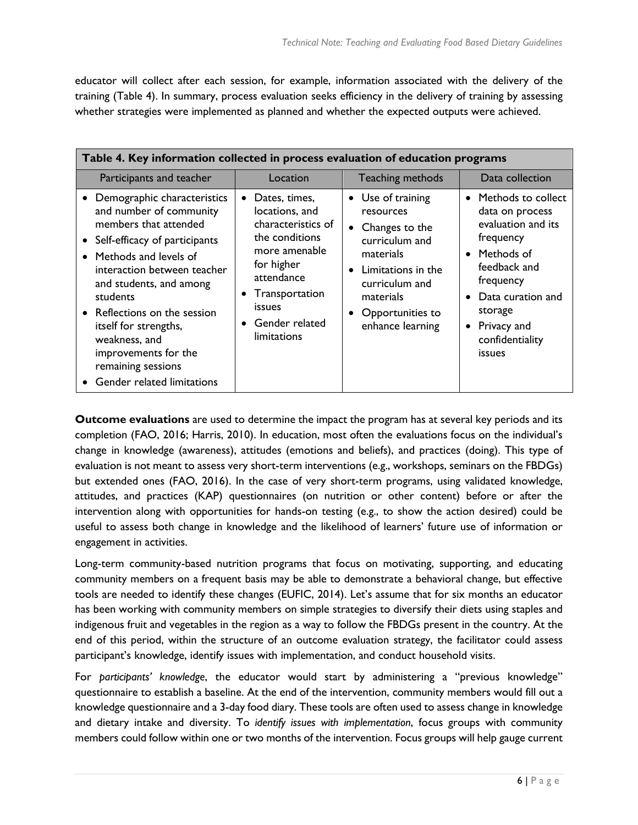educator will collect after each session, for example, information associated with the delivery of the training (Table 4). In summary, process evaluation seeks efficiency in the delivery of training by assessing whether strategies were implemented as planned and whether the expected outputs were achieved.

| Table 4. Key information collected in process evaluation of education programs                                                                                                                                                                                                                                                                                                                  |                                                                                                                                                                                                                                 |                                                                                                                                                                                             |                                                                                                                                                                                                          |
|-------------------------------------------------------------------------------------------------------------------------------------------------------------------------------------------------------------------------------------------------------------------------------------------------------------------------------------------------------------------------------------------------|---------------------------------------------------------------------------------------------------------------------------------------------------------------------------------------------------------------------------------|---------------------------------------------------------------------------------------------------------------------------------------------------------------------------------------------|----------------------------------------------------------------------------------------------------------------------------------------------------------------------------------------------------------|
| Participants and teacher                                                                                                                                                                                                                                                                                                                                                                        | Location                                                                                                                                                                                                                        | Teaching methods                                                                                                                                                                            | Data collection                                                                                                                                                                                          |
| • Demographic characteristics<br>and number of community<br>members that attended<br>Self-efficacy of participants<br>$\bullet$<br>Methods and levels of<br>$\bullet$<br>interaction between teacher<br>and students, and among<br>students<br>Reflections on the session<br>itself for strengths,<br>weakness, and<br>improvements for the<br>remaining sessions<br>Gender related limitations | Dates, times,<br>$\bullet$<br>locations, and<br>characteristics of<br>the conditions<br>more amenable<br>for higher<br>attendance<br>Transportation<br>$\bullet$<br><i>issues</i><br>Gender related<br>$\bullet$<br>limitations | • Use of training<br>resources<br>• Changes to the<br>curriculum and<br>materials<br>Limitations in the<br>$\bullet$<br>curriculum and<br>materials<br>Opportunities to<br>enhance learning | Methods to collect<br>data on process<br>evaluation and its<br>frequency<br>• Methods of<br>feedback and<br>frequency<br>Data curation and<br>storage<br>Privacy and<br>confidentiality<br><i>issues</i> |

**Outcome evaluations** are used to determine the impact the program has at several key periods and its completion (FAO, 2016; Harris, 2010). In education, most often the evaluations focus on the individual's change in knowledge (awareness), attitudes (emotions and beliefs), and practices (doing). This type of evaluation is not meant to assess very short-term interventions (e.g., workshops, seminars on the FBDGs) but extended ones (FAO, 2016). In the case of very short-term programs, using validated knowledge, attitudes, and practices (KAP) questionnaires (on nutrition or other content) before or after the intervention along with opportunities for hands-on testing (e.g., to show the action desired) could be useful to assess both change in knowledge and the likelihood of learners' future use of information or engagement in activities.

Long-term community-based nutrition programs that focus on motivating, supporting, and educating community members on a frequent basis may be able to demonstrate a behavioral change, but effective tools are needed to identify these changes (EUFIC, 2014). Let's assume that for six months an educator has been working with community members on simple strategies to diversify their diets using staples and indigenous fruit and vegetables in the region as a way to follow the FBDGs present in the country. At the end of this period, within the structure of an outcome evaluation strategy, the facilitator could assess participant's knowledge, identify issues with implementation, and conduct household visits.

For *participants' knowledge*, the educator would start by administering a "previous knowledge" questionnaire to establish a baseline. At the end of the intervention, community members would fill out a knowledge questionnaire and a 3-day food diary. These tools are often used to assess change in knowledge and dietary intake and diversity. To *identify issues with implementation*, focus groups with community members could follow within one or two months of the intervention. Focus groups will help gauge current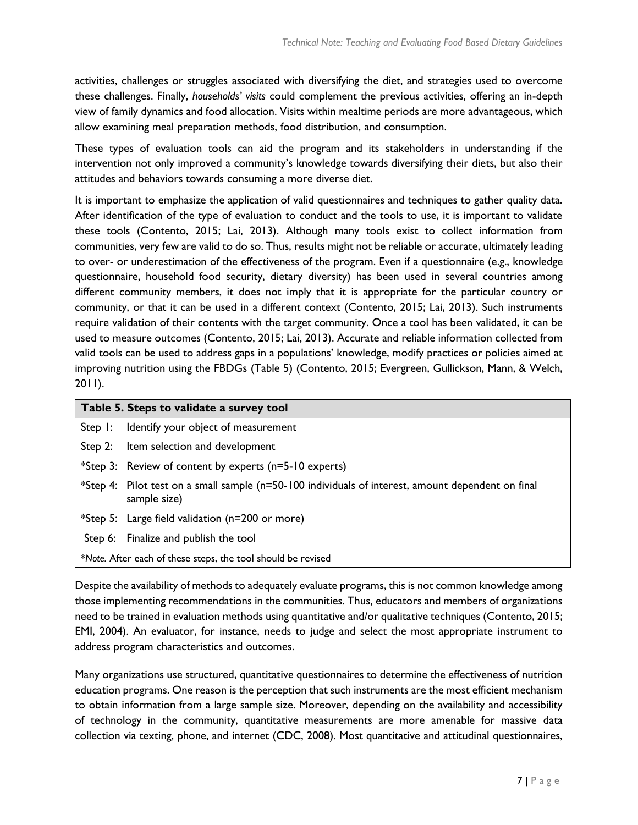activities, challenges or struggles associated with diversifying the diet, and strategies used to overcome these challenges. Finally, *households' visits* could complement the previous activities, offering an in-depth view of family dynamics and food allocation. Visits within mealtime periods are more advantageous, which allow examining meal preparation methods, food distribution, and consumption.

These types of evaluation tools can aid the program and its stakeholders in understanding if the intervention not only improved a community's knowledge towards diversifying their diets, but also their attitudes and behaviors towards consuming a more diverse diet.

It is important to emphasize the application of valid questionnaires and techniques to gather quality data. After identification of the type of evaluation to conduct and the tools to use, it is important to validate these tools (Contento, 2015; Lai, 2013). Although many tools exist to collect information from communities, very few are valid to do so. Thus, results might not be reliable or accurate, ultimately leading to over- or underestimation of the effectiveness of the program. Even if a questionnaire (e.g., knowledge questionnaire, household food security, dietary diversity) has been used in several countries among different community members, it does not imply that it is appropriate for the particular country or community, or that it can be used in a different context (Contento, 2015; Lai, 2013). Such instruments require validation of their contents with the target community. Once a tool has been validated, it can be used to measure outcomes (Contento, 2015; Lai, 2013). Accurate and reliable information collected from valid tools can be used to address gaps in a populations' knowledge, modify practices or policies aimed at improving nutrition using the FBDGs (Table 5) (Contento, 2015; Evergreen, Gullickson, Mann, & Welch, 2011).

| Table 5. Steps to validate a survey tool                     |                                                                                                                    |  |
|--------------------------------------------------------------|--------------------------------------------------------------------------------------------------------------------|--|
|                                                              | Step 1: Identify your object of measurement                                                                        |  |
|                                                              | Step 2: Item selection and development                                                                             |  |
|                                                              | <i>*Step 3:</i> Review of content by experts $(n=5-10$ experts)                                                    |  |
|                                                              | *Step 4: Pilot test on a small sample (n=50-100 individuals of interest, amount dependent on final<br>sample size) |  |
|                                                              | *Step 5: Large field validation (n=200 or more)                                                                    |  |
|                                                              | Step 6: Finalize and publish the tool                                                                              |  |
| *Note. After each of these steps, the tool should be revised |                                                                                                                    |  |

Despite the availability of methods to adequately evaluate programs, this is not common knowledge among those implementing recommendations in the communities. Thus, educators and members of organizations need to be trained in evaluation methods using quantitative and/or qualitative techniques (Contento, 2015; EMI, 2004). An evaluator, for instance, needs to judge and select the most appropriate instrument to address program characteristics and outcomes.

Many organizations use structured, quantitative questionnaires to determine the effectiveness of nutrition education programs. One reason is the perception that such instruments are the most efficient mechanism to obtain information from a large sample size. Moreover, depending on the availability and accessibility of technology in the community, quantitative measurements are more amenable for massive data collection via texting, phone, and internet (CDC, 2008). Most quantitative and attitudinal questionnaires,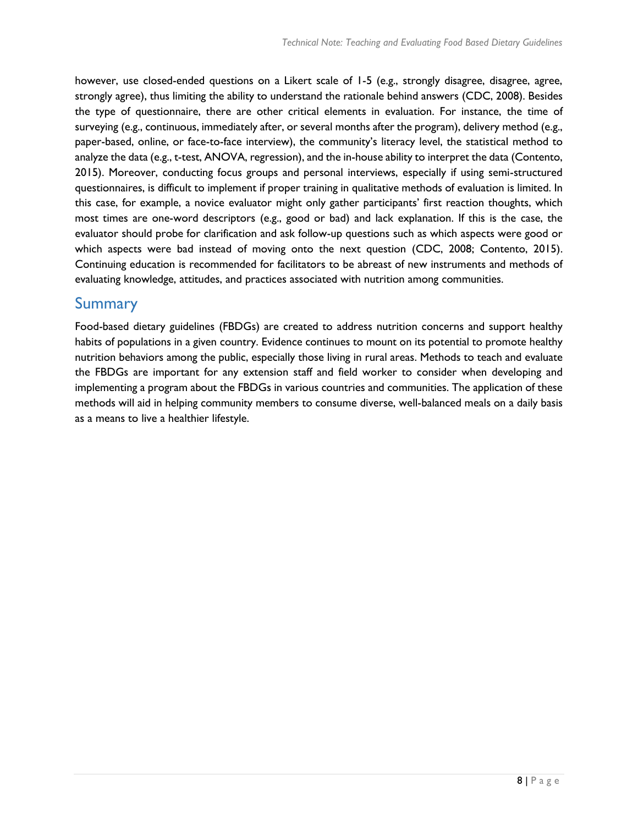however, use closed-ended questions on a Likert scale of 1-5 (e.g., strongly disagree, disagree, agree, strongly agree), thus limiting the ability to understand the rationale behind answers (CDC, 2008). Besides the type of questionnaire, there are other critical elements in evaluation. For instance, the time of surveying (e.g., continuous, immediately after, or several months after the program), delivery method (e.g., paper-based, online, or face-to-face interview), the community's literacy level, the statistical method to analyze the data (e.g., t-test, ANOVA, regression), and the in-house ability to interpret the data (Contento, 2015). Moreover, conducting focus groups and personal interviews, especially if using semi-structured questionnaires, is difficult to implement if proper training in qualitative methods of evaluation is limited. In this case, for example, a novice evaluator might only gather participants' first reaction thoughts, which most times are one-word descriptors (e.g., good or bad) and lack explanation. If this is the case, the evaluator should probe for clarification and ask follow-up questions such as which aspects were good or which aspects were bad instead of moving onto the next question (CDC, 2008; Contento, 2015). Continuing education is recommended for facilitators to be abreast of new instruments and methods of evaluating knowledge, attitudes, and practices associated with nutrition among communities.

### Summary

Food-based dietary guidelines (FBDGs) are created to address nutrition concerns and support healthy habits of populations in a given country. Evidence continues to mount on its potential to promote healthy nutrition behaviors among the public, especially those living in rural areas. Methods to teach and evaluate the FBDGs are important for any extension staff and field worker to consider when developing and implementing a program about the FBDGs in various countries and communities. The application of these methods will aid in helping community members to consume diverse, well-balanced meals on a daily basis as a means to live a healthier lifestyle.